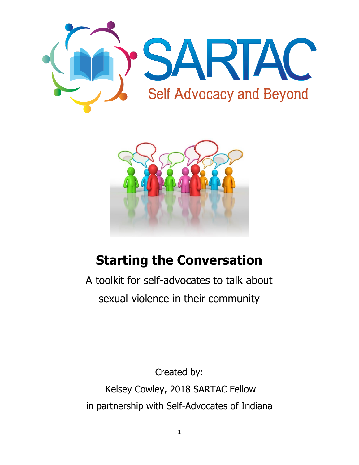



# **Starting the Conversation**

A toolkit for self-advocates to talk about sexual violence in their community

Created by: Kelsey Cowley, 2018 SARTAC Fellow in partnership with Self-Advocates of Indiana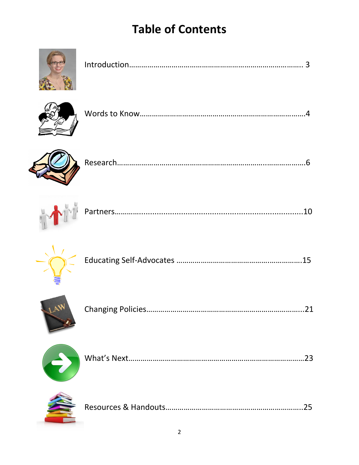# **Table of Contents**







|--|



|--|--|





|--|--|



|--|--|

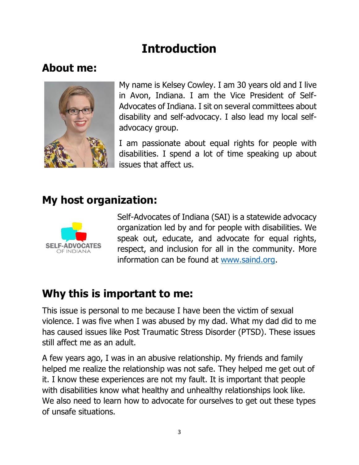# **Introduction**

# **About me:**



My name is Kelsey Cowley. I am 30 years old and I live in Avon, Indiana. I am the Vice President of Self-Advocates of Indiana. I sit on several committees about disability and self-advocacy. I also lead my local selfadvocacy group.

I am passionate about equal rights for people with disabilities. I spend a lot of time speaking up about issues that affect us.

# **My host organization:**



Self-Advocates of Indiana (SAI) is a statewide advocacy organization led by and for people with disabilities. We speak out, educate, and advocate for equal rights, respect, and inclusion for all in the community. More information can be found at [www.saind.org.](http://www.saind.org/)

# **Why this is important to me:**

This issue is personal to me because I have been the victim of sexual violence. I was five when I was abused by my dad. What my dad did to me has caused issues like Post Traumatic Stress Disorder (PTSD). These issues still affect me as an adult.

A few years ago, I was in an abusive relationship. My friends and family helped me realize the relationship was not safe. They helped me get out of it. I know these experiences are not my fault. It is important that people with disabilities know what healthy and unhealthy relationships look like. We also need to learn how to advocate for ourselves to get out these types of unsafe situations.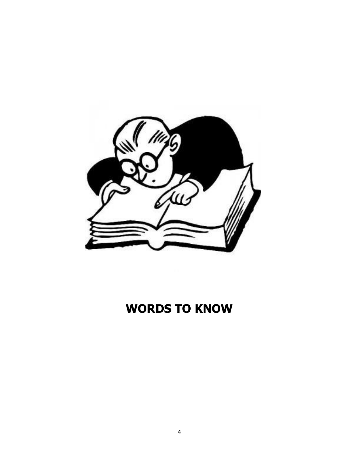

# **WORDS TO KNOW**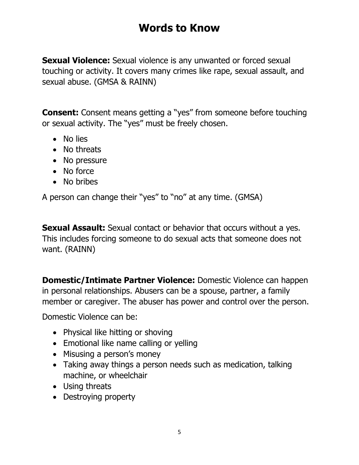# **Words to Know**

**Sexual Violence:** Sexual violence is any unwanted or forced sexual touching or activity. It covers many crimes like rape, sexual assault, and sexual abuse. (GMSA & RAINN)

**Consent:** Consent means getting a "yes" from someone before touching or sexual activity. The "yes" must be freely chosen.

- No lies
- No threats
- No pressure
- No force
- No bribes

A person can change their "yes" to "no" at any time. (GMSA)

**Sexual Assault:** Sexual contact or behavior that occurs without a yes. This includes forcing someone to do sexual acts that someone does not want. (RAINN)

**Domestic/Intimate Partner Violence:** Domestic Violence can happen in personal relationships. Abusers can be a spouse, partner, a family member or caregiver. The abuser has power and control over the person.

Domestic Violence can be:

- Physical like hitting or shoving
- Emotional like name calling or yelling
- Misusing a person's money
- Taking away things a person needs such as medication, talking machine, or wheelchair
- Using threats
- Destroying property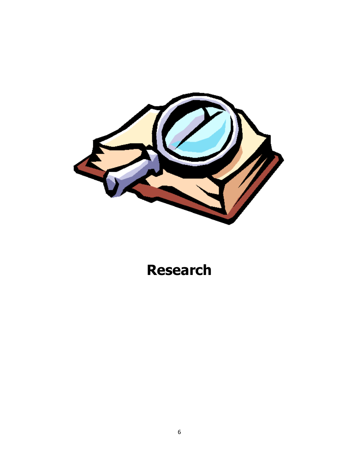

# **Research**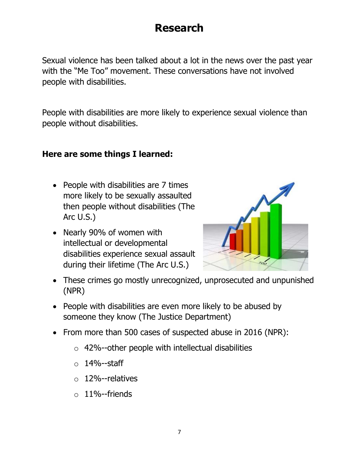# **Research**

Sexual violence has been talked about a lot in the news over the past year with the "Me Too" movement. These conversations have not involved people with disabilities.

People with disabilities are more likely to experience sexual violence than people without disabilities.

#### **Here are some things I learned:**

- People with disabilities are 7 times more likely to be sexually assaulted then people without disabilities (The Arc U.S.)
- Nearly 90% of women with intellectual or developmental disabilities experience sexual assault during their lifetime (The Arc U.S.)



- These crimes go mostly unrecognized, unprosecuted and unpunished (NPR)
- People with disabilities are even more likely to be abused by someone they know (The Justice Department)
- From more than 500 cases of suspected abuse in 2016 (NPR):
	- $\circ$  42%--other people with intellectual disabilities
	- $\circ$  14%--staff
	- o 12%--relatives
	- $\circ$  11%--friends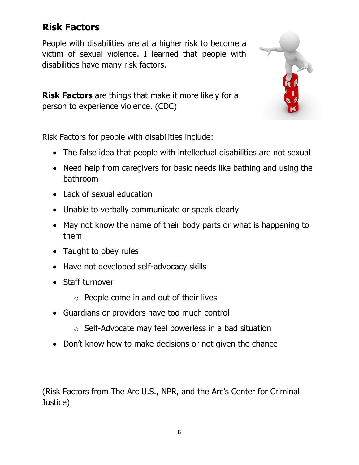## **Risk Factors**

People with disabilities are at a higher risk to become a victim of sexual violence. I learned that people with disabilities have many risk factors.



**Risk Factors** are things that make it more likely for a person to experience violence. (CDC)

Risk Factors for people with disabilities include:

- The false idea that people with intellectual disabilities are not sexual
- Need help from caregivers for basic needs like bathing and using the bathroom
- Lack of sexual education
- Unable to verbally communicate or speak clearly
- May not know the name of their body parts or what is happening to them
- Taught to obey rules
- Have not developed self-advocacy skills
- Staff turnover
	- $\circ$  People come in and out of their lives
- Guardians or providers have too much control
	- o Self-Advocate may feel powerless in a bad situation
- Don't know how to make decisions or not given the chance

(Risk Factors from The Arc U.S., NPR, and the Arc's Center for Criminal Justice)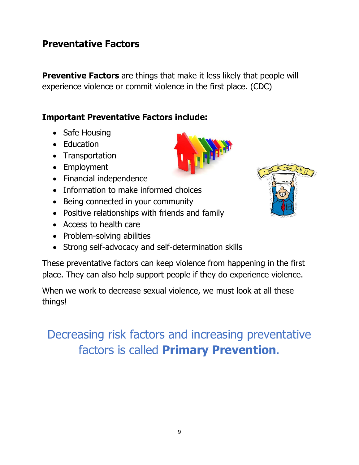## **Preventative Factors**

**Preventive Factors** are things that make it less likely that people will experience violence or commit violence in the first place. (CDC)

#### **Important Preventative Factors include:**

- Safe Housing
- Education
- Transportation
- Employment
- Financial independence
- Information to make informed choices
- Being connected in your community
- Positive relationships with friends and family
- Access to health care
- Problem-solving abilities
- Strong self-advocacy and self-determination skills

These preventative factors can keep violence from happening in the first place. They can also help support people if they do experience violence.

When we work to decrease sexual violence, we must look at all these things!

# Decreasing risk factors and increasing preventative factors is called **Primary Prevention**.

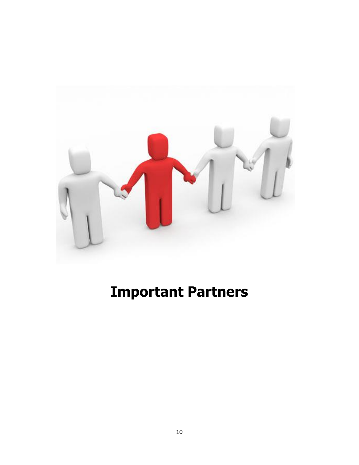

# **Important Partners**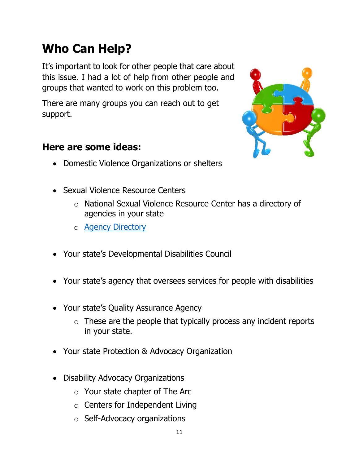# **Who Can Help?**

It's important to look for other people that care about this issue. I had a lot of help from other people and groups that wanted to work on this problem too.

There are many groups you can reach out to get support.

## **Here are some ideas:**

- Domestic Violence Organizations or shelters
- Sexual Violence Resource Centers
	- o National Sexual Violence Resource Center has a directory of agencies in your state
	- o [Agency Directory](https://www.nsvrc.org/organizations?field_organizations_target_id=8&field_states_territories_target_id=108Disability%20Service%20Providers%20)
- Your state's Developmental Disabilities Council
- Your state's agency that oversees services for people with disabilities
- Your state's Quality Assurance Agency
	- $\circ$  These are the people that typically process any incident reports in your state.
- Your state Protection & Advocacy Organization
- Disability Advocacy Organizations
	- o Your state chapter of The Arc
	- o Centers for Independent Living
	- o Self-Advocacy organizations

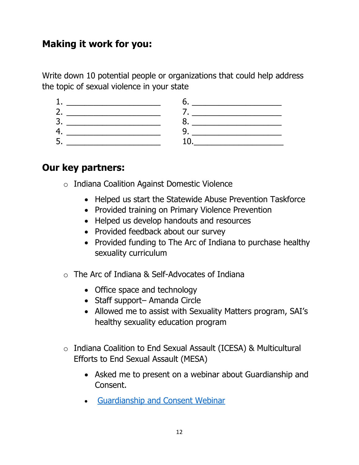## **Making it work for you:**

Write down 10 potential people or organizations that could help address the topic of sexual violence in your state

| -<br>ے |  |
|--------|--|
|        |  |
| سه     |  |

### **Our key partners:**

- o Indiana Coalition Against Domestic Violence
	- Helped us start the Statewide Abuse Prevention Taskforce
	- Provided training on Primary Violence Prevention
	- Helped us develop handouts and resources
	- Provided feedback about our survey
	- Provided funding to The Arc of Indiana to purchase healthy sexuality curriculum
- o The Arc of Indiana & Self-Advocates of Indiana
	- Office space and technology
	- Staff support– Amanda Circle
	- Allowed me to assist with Sexuality Matters program, SAI's healthy sexuality education program
- o Indiana Coalition to End Sexual Assault (ICESA) & Multicultural Efforts to End Sexual Assault (MESA)
	- Asked me to present on a webinar about Guardianship and Consent.
	- [Guardianship and Consent Webinar](https://register.gotowebinar.com/register/8841822101386549761)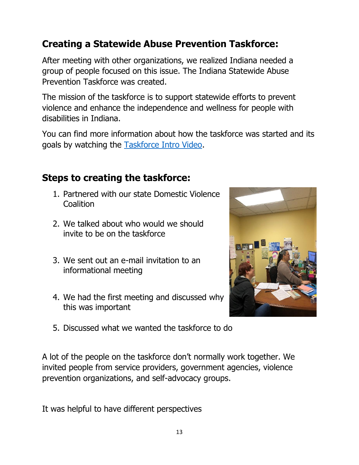## **Creating a Statewide Abuse Prevention Taskforce:**

After meeting with other organizations, we realized Indiana needed a group of people focused on this issue. The Indiana Statewide Abuse Prevention Taskforce was created.

The mission of the taskforce is to support statewide efforts to prevent violence and enhance the independence and wellness for people with disabilities in Indiana.

You can find more information about how the taskforce was started and its goals by watching the [Taskforce Intro Video.](https://www.youtube.com/watch?v=gmwhCzGvqxA)

## **Steps to creating the taskforce:**

- 1. Partnered with our state Domestic Violence Coalition
- 2. We talked about who would we should invite to be on the taskforce
- 3. We sent out an e-mail invitation to an informational meeting
- 4. We had the first meeting and discussed why this was important



5. Discussed what we wanted the taskforce to do

A lot of the people on the taskforce don't normally work together. We invited people from service providers, government agencies, violence prevention organizations, and self-advocacy groups.

It was helpful to have different perspectives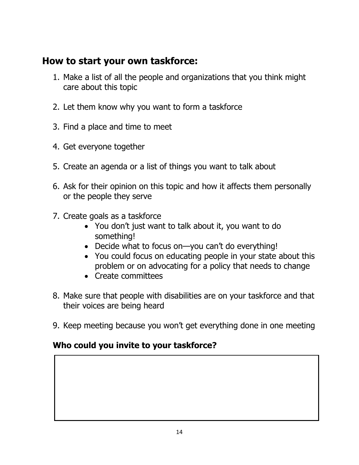## **How to start your own taskforce:**

- 1. Make a list of all the people and organizations that you think might care about this topic
- 2. Let them know why you want to form a taskforce
- 3. Find a place and time to meet
- 4. Get everyone together
- 5. Create an agenda or a list of things you want to talk about
- 6. Ask for their opinion on this topic and how it affects them personally or the people they serve
- 7. Create goals as a taskforce
	- You don't just want to talk about it, you want to do something!
	- Decide what to focus on—you can't do everything!
	- You could focus on educating people in your state about this problem or on advocating for a policy that needs to change
	- Create committees
- 8. Make sure that people with disabilities are on your taskforce and that their voices are being heard
- 9. Keep meeting because you won't get everything done in one meeting

#### **Who could you invite to your taskforce?**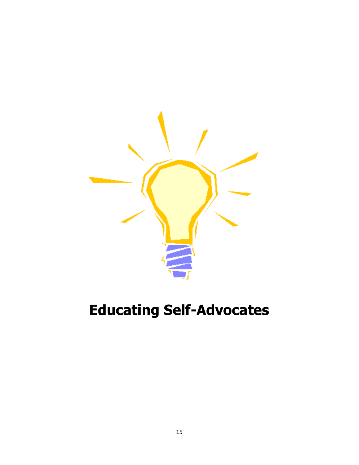

# **Educating Self-Advocates**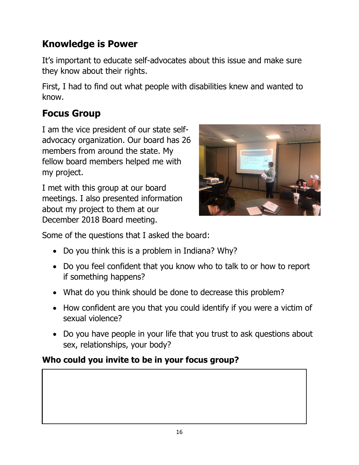# **Knowledge is Power**

It's important to educate self-advocates about this issue and make sure they know about their rights.

First, I had to find out what people with disabilities knew and wanted to know.

# **Focus Group**

I am the vice president of our state selfadvocacy organization. Our board has 26 members from around the state. My fellow board members helped me with my project.

I met with this group at our board meetings. I also presented information about my project to them at our December 2018 Board meeting.



Some of the questions that I asked the board:

- Do you think this is a problem in Indiana? Why?
- Do you feel confident that you know who to talk to or how to report if something happens?
- What do you think should be done to decrease this problem?
- How confident are you that you could identify if you were a victim of sexual violence?
- Do you have people in your life that you trust to ask questions about sex, relationships, your body?

## **Who could you invite to be in your focus group?**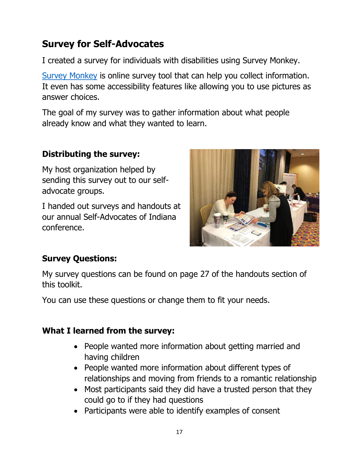## **Survey for Self-Advocates**

I created a survey for individuals with disabilities using Survey Monkey.

[Survey Monkey](http://www.surveymonkey.com/) is online survey tool that can help you collect information. It even has some accessibility features like allowing you to use pictures as answer choices.

The goal of my survey was to gather information about what people already know and what they wanted to learn.

#### **Distributing the survey:**

My host organization helped by sending this survey out to our selfadvocate groups.

I handed out surveys and handouts at our annual Self-Advocates of Indiana conference.



#### **Survey Questions:**

My survey questions can be found on page 27 of the handouts section of this toolkit.

You can use these questions or change them to fit your needs.

#### **What I learned from the survey:**

- People wanted more information about getting married and having children
- People wanted more information about different types of relationships and moving from friends to a romantic relationship
- Most participants said they did have a trusted person that they could go to if they had questions
- Participants were able to identify examples of consent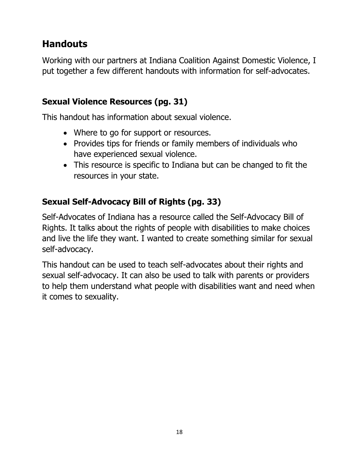## **Handouts**

Working with our partners at Indiana Coalition Against Domestic Violence, I put together a few different handouts with information for self-advocates.

#### **Sexual Violence Resources (pg. 31)**

This handout has information about sexual violence.

- Where to go for support or resources.
- Provides tips for friends or family members of individuals who have experienced sexual violence.
- This resource is specific to Indiana but can be changed to fit the resources in your state.

## **Sexual Self-Advocacy Bill of Rights (pg. 33)**

Self-Advocates of Indiana has a resource called the Self-Advocacy Bill of Rights. It talks about the rights of people with disabilities to make choices and live the life they want. I wanted to create something similar for sexual self-advocacy.

This handout can be used to teach self-advocates about their rights and sexual self-advocacy. It can also be used to talk with parents or providers to help them understand what people with disabilities want and need when it comes to sexuality.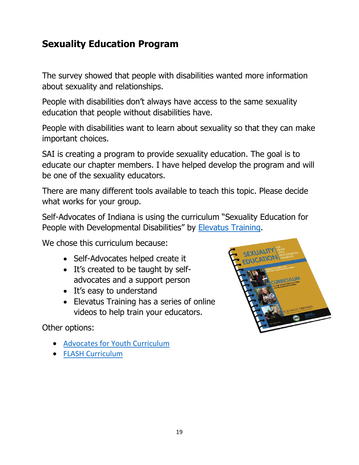## **Sexuality Education Program**

The survey showed that people with disabilities wanted more information about sexuality and relationships.

People with disabilities don't always have access to the same sexuality education that people without disabilities have.

People with disabilities want to learn about sexuality so that they can make important choices.

SAI is creating a program to provide sexuality education. The goal is to educate our chapter members. I have helped develop the program and will be one of the sexuality educators.

There are many different tools available to teach this topic. Please decide what works for your group.

Self-Advocates of Indiana is using the curriculum "Sexuality Education for People with Developmental Disabilities" by **Elevatus Training**.

We chose this curriculum because:

- Self-Advocates helped create it
- It's created to be taught by selfadvocates and a support person
- It's easy to understand
- Elevatus Training has a series of online videos to help train your educators.

Other options:

- [Advocates for Youth Curriculum](https://advocatesforyouth.org/resources/fact-sheets/sexual-health-education-for-young-people-with-disabilities/)
- [FLASH Curriculum](https://www.kingcounty.gov/depts/health/locations/family-planning/education/FLASH/special-education.aspx)

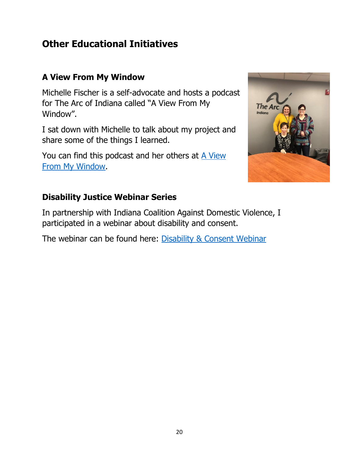## **Other Educational Initiatives**

#### **A View From My Window**

Michelle Fischer is a self-advocate and hosts a podcast for The Arc of Indiana called "A View From My Window".

I sat down with Michelle to talk about my project and share some of the things I learned.

You can find this podcast and her others at **A View** [From My Window.](https://www.arcind.org/podcasts/a-view-into-kelsey-cowleys-fellowship-on-sexual-abuse-violence-and-prevention/)



#### **Disability Justice Webinar Series**

In partnership with Indiana Coalition Against Domestic Violence, I participated in a webinar about disability and consent.

The webinar can be found here: [Disability & Consent Webinar](https://register.gotowebinar.com/register/8841822101386549761)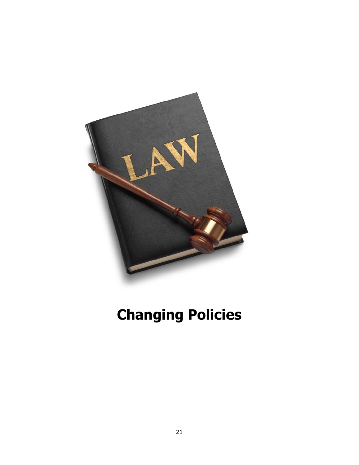

# **Changing Policies**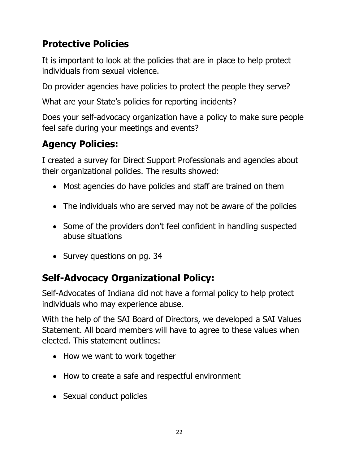## **Protective Policies**

It is important to look at the policies that are in place to help protect individuals from sexual violence.

Do provider agencies have policies to protect the people they serve?

What are your State's policies for reporting incidents?

Does your self-advocacy organization have a policy to make sure people feel safe during your meetings and events?

# **Agency Policies:**

I created a survey for Direct Support Professionals and agencies about their organizational policies. The results showed:

- Most agencies do have policies and staff are trained on them
- The individuals who are served may not be aware of the policies
- Some of the providers don't feel confident in handling suspected abuse situations
- Survey questions on pg. 34

# **Self-Advocacy Organizational Policy:**

Self-Advocates of Indiana did not have a formal policy to help protect individuals who may experience abuse.

With the help of the SAI Board of Directors, we developed a SAI Values Statement. All board members will have to agree to these values when elected. This statement outlines:

- How we want to work together
- How to create a safe and respectful environment
- Sexual conduct policies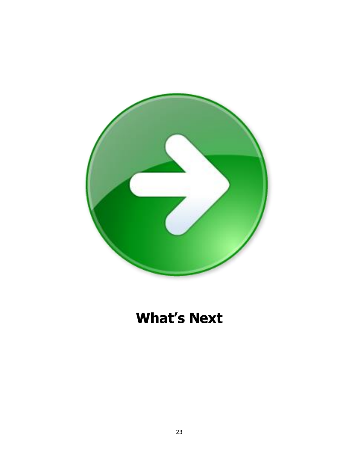

# **What's Next**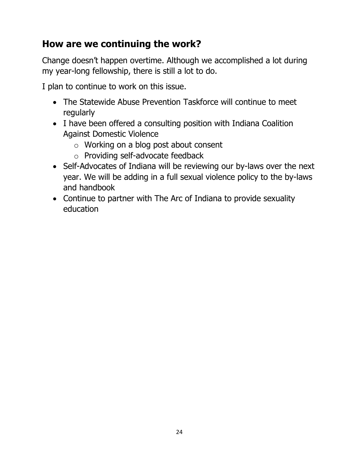## **How are we continuing the work?**

Change doesn't happen overtime. Although we accomplished a lot during my year-long fellowship, there is still a lot to do.

I plan to continue to work on this issue.

- The Statewide Abuse Prevention Taskforce will continue to meet regularly
- I have been offered a consulting position with Indiana Coalition Against Domestic Violence
	- o Working on a blog post about consent
	- o Providing self-advocate feedback
- Self-Advocates of Indiana will be reviewing our by-laws over the next year. We will be adding in a full sexual violence policy to the by-laws and handbook
- Continue to partner with The Arc of Indiana to provide sexuality education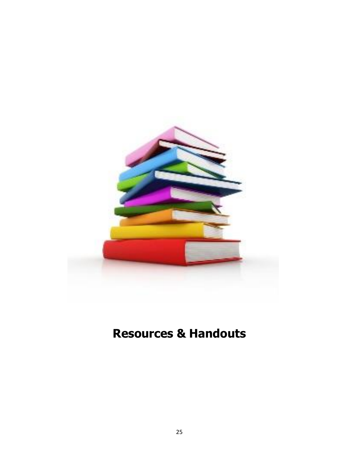

# **Resources & Handouts**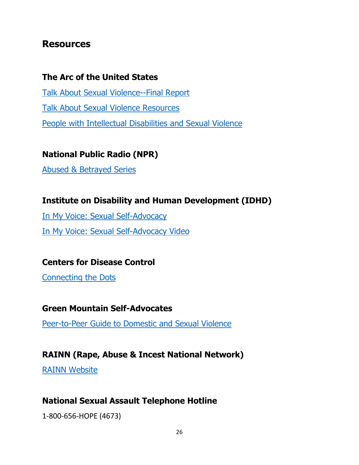#### **Resources**

#### **The Arc of the United States**

[Talk About Sexual Violence--Final Report](https://www.thearc.org/file/nccjd_sexual-violence/ARC-BRC-finalreport-6-FINAL.pdf) [Talk About Sexual Violence Resources](https://www.thearc.org/what-we-do/programs-and-services/national-initiatives/nccjd/talk-about-sexual-violence/resources) [People with Intellectual Disabilities and Sexual Violence](https://www.thearc.org/what-we-do/resources/fact-sheets/sexual-violence)

**National Public Radio (NPR)**

[Abused & Betrayed Series](https://www.npr.org/series/575502633/abused-and-betrayed)

#### **Institute on Disability and Human Development (IDHD)**

[In My Voice: Sexual Self-Advocacy](http://sdc.ahslabs.uic.edu/wp-content/uploads/sites/19/2015/12/InMyVoice_SexualSelf-Advocacy.pdf) [In My Voice: Sexual Self-Advocacy Video](https://www.youtube.com/watch?v=M5Q5hW62M4Y) 

#### **Centers for Disease Control**

[Connecting the Dots](https://www.cdc.gov/violenceprevention/pdf/connecting_the_dots-a.pdf)

#### **Green Mountain Self-Advocates**

[Peer-to-Peer Guide to Domestic and Sexual Violence](http://www.gmsavt.org/wp-content/uploads/2015/07/GMSA-A-Peer-to-Peer-Guide-About-DV-and-SV.pdf)

#### **RAINN (Rape, Abuse & Incest National Network)**

[RAINN Website](http://www.rainn.org/)

#### **National Sexual Assault Telephone Hotline**

1-800-656-HOPE (4673)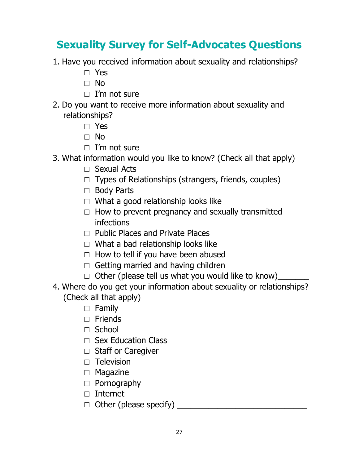# **Sexuality Survey for Self-Advocates Questions**

- 1. Have you received information about sexuality and relationships?
	- □ Yes
	- □ No
	- $\Box$  I'm not sure
- 2. Do you want to receive more information about sexuality and relationships?
	- □ Yes
	- □ No
	- $\Box$  I'm not sure
- 3. What information would you like to know? (Check all that apply)
	- □ Sexual Acts
	- $\Box$  Types of Relationships (strangers, friends, couples)
	- □ Body Parts
	- $\Box$  What a good relationship looks like
	- $\Box$  How to prevent pregnancy and sexually transmitted infections
	- $\Box$  Public Places and Private Places
	- $\Box$  What a bad relationship looks like
	- $\Box$  How to tell if you have been abused
	- $\Box$  Getting married and having children
	- $\Box$  Other (please tell us what you would like to know)
- 4. Where do you get your information about sexuality or relationships? (Check all that apply)
	- □ Family
	- $\Box$  Friends
	- $\Box$  School
	- □ Sex Education Class
	- □ Staff or Caregiver
	- □ Television
	- □ Magazine
	- □ Pornography
	- $\Box$  Internet
	- □ Other (please specify) \_\_\_\_\_\_\_\_\_\_\_\_\_\_\_\_\_\_\_\_\_\_\_\_\_\_\_\_\_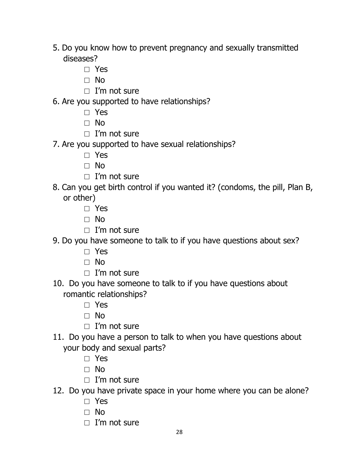- 5. Do you know how to prevent pregnancy and sexually transmitted diseases?
	- □ Yes
	- □ No
	- $\Box$  I'm not sure
- 6. Are you supported to have relationships?
	- □ Yes
	- □ No
	- $\Box$  I'm not sure
- 7. Are you supported to have sexual relationships?
	- □ Yes
	- □ No
	- $\Box$  I'm not sure
- 8. Can you get birth control if you wanted it? (condoms, the pill, Plan B, or other)
	- □ Yes
	- □ No
	- □ I'm not sure
- 9. Do you have someone to talk to if you have questions about sex?
	- □ Yes
	- □ No
	- $\Box$  I'm not sure
- 10. Do you have someone to talk to if you have questions about romantic relationships?
	- □ Yes
	- □ No
	- □ I'm not sure
- 11. Do you have a person to talk to when you have questions about your body and sexual parts?
	- □ Yes
	- □ No
	- $\Box$  I'm not sure
- 12. Do you have private space in your home where you can be alone?
	- □ Yes
	- □ No
	- $\Box$  I'm not sure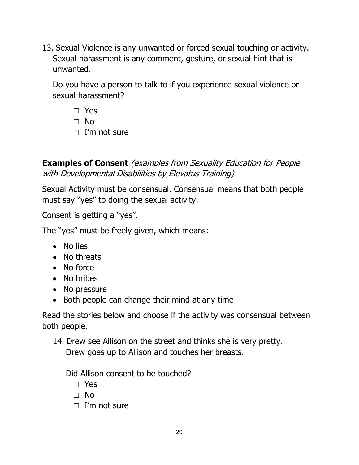13. Sexual Violence is any unwanted or forced sexual touching or activity. Sexual harassment is any comment, gesture, or sexual hint that is unwanted.

Do you have a person to talk to if you experience sexual violence or sexual harassment?

- □ Yes
- □ No
- $\Box$  I'm not sure

**Examples of Consent** (examples from Sexuality Education for People with Developmental Disabilities by Elevatus Training)

Sexual Activity must be consensual. Consensual means that both people must say "yes" to doing the sexual activity.

Consent is getting a "yes".

The "yes" must be freely given, which means:

- No lies
- No threats
- No force
- No bribes
- No pressure
- Both people can change their mind at any time

Read the stories below and choose if the activity was consensual between both people.

14. Drew see Allison on the street and thinks she is very pretty. Drew goes up to Allison and touches her breasts.

Did Allison consent to be touched?

□ Yes

□ No

 $\Box$  I'm not sure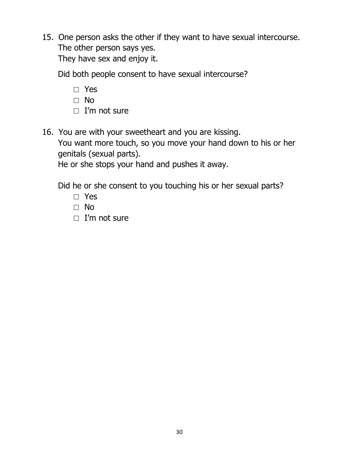15. One person asks the other if they want to have sexual intercourse. The other person says yes.

They have sex and enjoy it.

Did both people consent to have sexual intercourse?

- □ Yes
- □ No
- $\Box$  I'm not sure
- 16. You are with your sweetheart and you are kissing. You want more touch, so you move your hand down to his or her genitals (sexual parts).

He or she stops your hand and pushes it away.

Did he or she consent to you touching his or her sexual parts?

- □ Yes
- □ No
- □ I'm not sure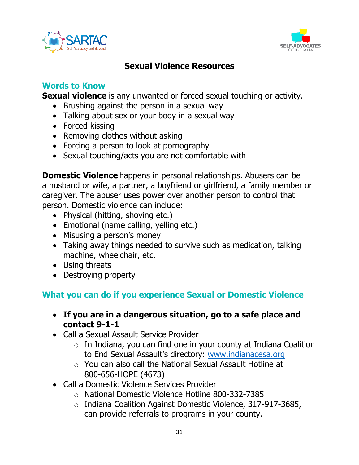



#### **Sexual Violence Resources**

#### **Words to Know**

**Sexual violence** is any unwanted or forced sexual touching or activity.

- Brushing against the person in a sexual way
- Talking about sex or your body in a sexual way
- Forced kissing
- Removing clothes without asking
- Forcing a person to look at pornography
- Sexual touching/acts you are not comfortable with

**Domestic Violence** happens in personal relationships. Abusers can be a husband or wife, a partner, a boyfriend or girlfriend, a family member or caregiver. The abuser uses power over another person to control that person. Domestic violence can include:

- Physical (hitting, shoving etc.)
- Emotional (name calling, yelling etc.)
- Misusing a person's money
- Taking away things needed to survive such as medication, talking machine, wheelchair, etc.
- Using threats
- Destroying property

### **What you can do if you experience Sexual or Domestic Violence**

- **If you are in a dangerous situation, go to a safe place and contact 9-1-1**
- Call a Sexual Assault Service Provider
	- $\circ$  In Indiana, you can find one in your county at Indiana Coalition to End Sexual Assault's directory: [www.indianacesa.org](http://www.indianacesa.org/)
	- o You can also call the National Sexual Assault Hotline at 800-656-HOPE (4673)
- Call a Domestic Violence Services Provider
	- o National Domestic Violence Hotline 800-332-7385
	- o Indiana Coalition Against Domestic Violence, 317-917-3685, can provide referrals to programs in your county.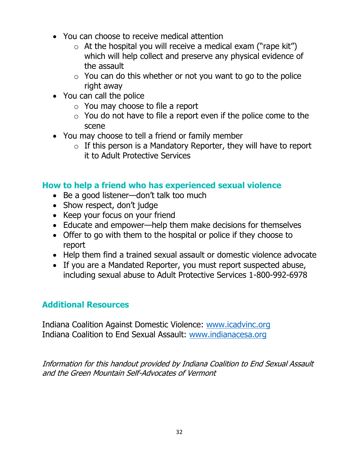- You can choose to receive medical attention
	- $\circ$  At the hospital you will receive a medical exam ("rape kit") which will help collect and preserve any physical evidence of the assault
	- $\circ$  You can do this whether or not you want to go to the police right away
- You can call the police
	- o You may choose to file a report
	- $\circ$  You do not have to file a report even if the police come to the scene
- You may choose to tell a friend or family member
	- $\circ$  If this person is a Mandatory Reporter, they will have to report it to Adult Protective Services

#### **How to help a friend who has experienced sexual violence**

- Be a good listener—don't talk too much
- Show respect, don't judge
- Keep your focus on your friend
- Educate and empower—help them make decisions for themselves
- Offer to go with them to the hospital or police if they choose to report
- Help them find a trained sexual assault or domestic violence advocate
- If you are a Mandated Reporter, you must report suspected abuse, including sexual abuse to Adult Protective Services 1-800-992-6978

### **Additional Resources**

Indiana Coalition Against Domestic Violence: [www.icadvinc.org](http://www.icadvinc.org/) Indiana Coalition to End Sexual Assault: [www.indianacesa.org](http://www.indianacesa.org/)

Information for this handout provided by Indiana Coalition to End Sexual Assault and the Green Mountain Self-Advocates of Vermont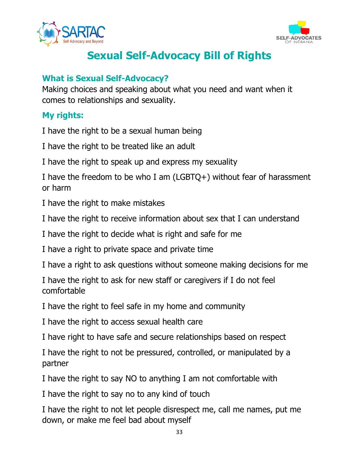



# **Sexual Self-Advocacy Bill of Rights**

#### **What is Sexual Self-Advocacy?**

Making choices and speaking about what you need and want when it comes to relationships and sexuality.

#### **My rights:**

I have the right to be a sexual human being

I have the right to be treated like an adult

I have the right to speak up and express my sexuality

I have the freedom to be who I am (LGBTQ+) without fear of harassment or harm

I have the right to make mistakes

I have the right to receive information about sex that I can understand

I have the right to decide what is right and safe for me

I have a right to private space and private time

I have a right to ask questions without someone making decisions for me

I have the right to ask for new staff or caregivers if I do not feel comfortable

I have the right to feel safe in my home and community

I have the right to access sexual health care

I have right to have safe and secure relationships based on respect

I have the right to not be pressured, controlled, or manipulated by a partner

I have the right to say NO to anything I am not comfortable with

I have the right to say no to any kind of touch

I have the right to not let people disrespect me, call me names, put me down, or make me feel bad about myself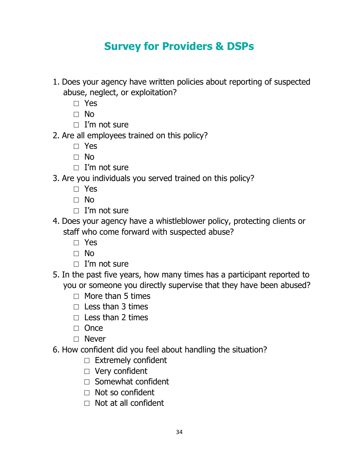# **Survey for Providers & DSPs**

- 1. Does your agency have written policies about reporting of suspected abuse, neglect, or exploitation?
	- □ Yes
	- □ No
	- □ I'm not sure
- 2. Are all employees trained on this policy?
	- □ Yes
	- □ No
	- $\Box$  I'm not sure
- 3. Are you individuals you served trained on this policy?
	- □ Yes
	- □ No
	- $\Box$  I'm not sure
- 4. Does your agency have a whistleblower policy, protecting clients or staff who come forward with suspected abuse?
	- □ Yes
	- □ No
	- $\Box$  I'm not sure
- 5. In the past five years, how many times has a participant reported to you or someone you directly supervise that they have been abused?
	- $\Box$  More than 5 times
	- $\Box$  Less than 3 times
	- $\Box$  Less than 2 times
	- □ Once
	- □ Never
- 6. How confident did you feel about handling the situation?
	- □ Extremely confident
	- □ Very confident
	- $\Box$  Somewhat confident
	- $\Box$  Not so confident
	- $\Box$  Not at all confident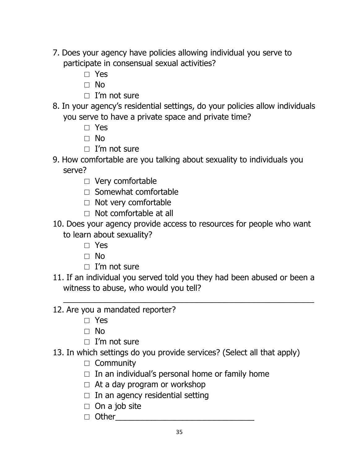- 7. Does your agency have policies allowing individual you serve to participate in consensual sexual activities?
	- □ Yes
	- □ No
	- $\Box$  I'm not sure
- 8. In your agency's residential settings, do your policies allow individuals you serve to have a private space and private time?
	- □ Yes
	- □ No
	- $\Box$  I'm not sure
- 9. How comfortable are you talking about sexuality to individuals you serve?
	- □ Very comfortable
	- □ Somewhat comfortable
	- □ Not very comfortable
	- $\Box$  Not comfortable at all
- 10. Does your agency provide access to resources for people who want to learn about sexuality?
	- □ Yes
	- □ No
	- $\Box$  I'm not sure
- 11. If an individual you served told you they had been abused or been a witness to abuse, who would you tell?

 $\overline{\phantom{a}}$  , and the contribution of the contribution of the contribution of the contribution of the contribution of the contribution of the contribution of the contribution of the contribution of the contribution of the

- 12. Are you a mandated reporter?
	- □ Yes
	- □ No
	- □ I'm not sure
- 13. In which settings do you provide services? (Select all that apply)
	- □ Community
	- $\Box$  In an individual's personal home or family home
	- $\Box$  At a day program or workshop
	- $\Box$  In an agency residential setting
	- $\Box$  On a job site
	- □ Other\_\_\_\_\_\_\_\_\_\_\_\_\_\_\_\_\_\_\_\_\_\_\_\_\_\_\_\_\_\_\_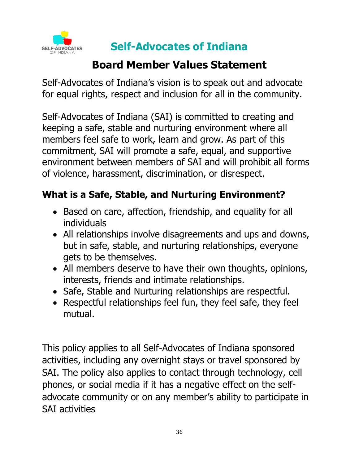

**Self-Advocates of Indiana** 

# **Board Member Values Statement**

Self-Advocates of Indiana's vision is to speak out and advocate for equal rights, respect and inclusion for all in the community.

Self-Advocates of Indiana (SAI) is committed to creating and keeping a safe, stable and nurturing environment where all members feel safe to work, learn and grow. As part of this commitment, SAI will promote a safe, equal, and supportive environment between members of SAI and will prohibit all forms of violence, harassment, discrimination, or disrespect.

## **What is a Safe, Stable, and Nurturing Environment?**

- Based on care, affection, friendship, and equality for all individuals
- All relationships involve disagreements and ups and downs, but in safe, stable, and nurturing relationships, everyone gets to be themselves.
- All members deserve to have their own thoughts, opinions, interests, friends and intimate relationships.
- Safe, Stable and Nurturing relationships are respectful.
- Respectful relationships feel fun, they feel safe, they feel mutual.

This policy applies to all Self-Advocates of Indiana sponsored activities, including any overnight stays or travel sponsored by SAI. The policy also applies to contact through technology, cell phones, or social media if it has a negative effect on the selfadvocate community or on any member's ability to participate in SAI activities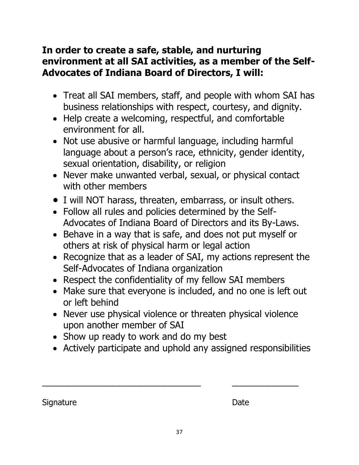## **In order to create a safe, stable, and nurturing environment at all SAI activities, as a member of the Self-Advocates of Indiana Board of Directors, I will:**

- Treat all SAI members, staff, and people with whom SAI has business relationships with respect, courtesy, and dignity.
- Help create a welcoming, respectful, and comfortable environment for all.
- Not use abusive or harmful language, including harmful language about a person's race, ethnicity, gender identity, sexual orientation, disability, or religion
- Never make unwanted verbal, sexual, or physical contact with other members
- I will NOT harass, threaten, embarrass, or insult others.
- Follow all rules and policies determined by the Self-Advocates of Indiana Board of Directors and its By-Laws.
- Behave in a way that is safe, and does not put myself or others at risk of physical harm or legal action
- Recognize that as a leader of SAI, my actions represent the Self-Advocates of Indiana organization
- Respect the confidentiality of my fellow SAI members
- Make sure that everyone is included, and no one is left out or left behind
- Never use physical violence or threaten physical violence upon another member of SAI
- Show up ready to work and do my best
- Actively participate and uphold any assigned responsibilities

 $\frac{1}{2}$  ,  $\frac{1}{2}$  ,  $\frac{1}{2}$  ,  $\frac{1}{2}$  ,  $\frac{1}{2}$  ,  $\frac{1}{2}$  ,  $\frac{1}{2}$  ,  $\frac{1}{2}$  ,  $\frac{1}{2}$  ,  $\frac{1}{2}$  ,  $\frac{1}{2}$  ,  $\frac{1}{2}$  ,  $\frac{1}{2}$  ,  $\frac{1}{2}$  ,  $\frac{1}{2}$  ,  $\frac{1}{2}$  ,  $\frac{1}{2}$  ,  $\frac{1}{2}$  ,  $\frac{1$ 

Signature Date Date